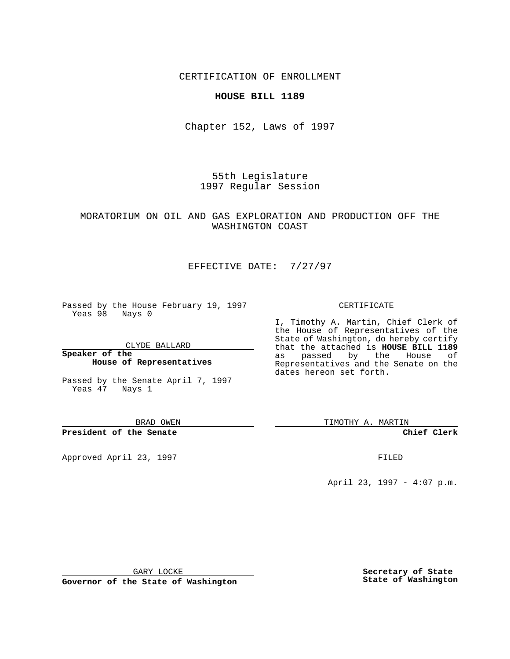CERTIFICATION OF ENROLLMENT

### **HOUSE BILL 1189**

Chapter 152, Laws of 1997

55th Legislature 1997 Regular Session

### MORATORIUM ON OIL AND GAS EXPLORATION AND PRODUCTION OFF THE WASHINGTON COAST

# EFFECTIVE DATE: 7/27/97

Passed by the House February 19, 1997 Yeas 98 Nays 0

CLYDE BALLARD

**Speaker of the House of Representatives**

Passed by the Senate April 7, 1997 Yeas 47 Nays 1

BRAD OWEN

**President of the Senate**

Approved April 23, 1997 **FILED** 

#### CERTIFICATE

I, Timothy A. Martin, Chief Clerk of the House of Representatives of the State of Washington, do hereby certify that the attached is **HOUSE BILL 1189** as passed by the House of Representatives and the Senate on the dates hereon set forth.

TIMOTHY A. MARTIN

**Chief Clerk**

April 23, 1997 - 4:07 p.m.

GARY LOCKE

**Governor of the State of Washington**

**Secretary of State State of Washington**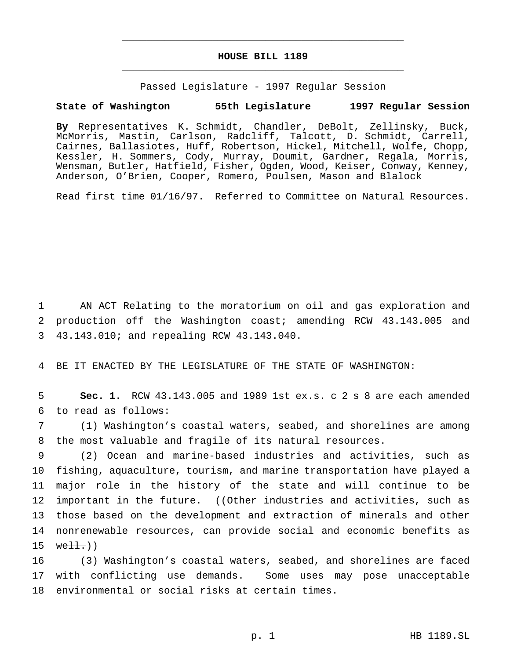## **HOUSE BILL 1189** \_\_\_\_\_\_\_\_\_\_\_\_\_\_\_\_\_\_\_\_\_\_\_\_\_\_\_\_\_\_\_\_\_\_\_\_\_\_\_\_\_\_\_\_\_\_\_

\_\_\_\_\_\_\_\_\_\_\_\_\_\_\_\_\_\_\_\_\_\_\_\_\_\_\_\_\_\_\_\_\_\_\_\_\_\_\_\_\_\_\_\_\_\_\_

Passed Legislature - 1997 Regular Session

#### **State of Washington 55th Legislature 1997 Regular Session**

**By** Representatives K. Schmidt, Chandler, DeBolt, Zellinsky, Buck, McMorris, Mastin, Carlson, Radcliff, Talcott, D. Schmidt, Carrell, Cairnes, Ballasiotes, Huff, Robertson, Hickel, Mitchell, Wolfe, Chopp, Kessler, H. Sommers, Cody, Murray, Doumit, Gardner, Regala, Morris, Wensman, Butler, Hatfield, Fisher, Ogden, Wood, Keiser, Conway, Kenney, Anderson, O'Brien, Cooper, Romero, Poulsen, Mason and Blalock

Read first time 01/16/97. Referred to Committee on Natural Resources.

1 AN ACT Relating to the moratorium on oil and gas exploration and 2 production off the Washington coast; amending RCW 43.143.005 and 3 43.143.010; and repealing RCW 43.143.040.

4 BE IT ENACTED BY THE LEGISLATURE OF THE STATE OF WASHINGTON:

5 **Sec. 1.** RCW 43.143.005 and 1989 1st ex.s. c 2 s 8 are each amended 6 to read as follows:

7 (1) Washington's coastal waters, seabed, and shorelines are among 8 the most valuable and fragile of its natural resources.

 (2) Ocean and marine-based industries and activities, such as fishing, aquaculture, tourism, and marine transportation have played a major role in the history of the state and will continue to be 12 important in the future. ((Other industries and activities, such as those based on the development and extraction of minerals and other nonrenewable resources, can provide social and economic benefits as  $15$  well.)

16 (3) Washington's coastal waters, seabed, and shorelines are faced 17 with conflicting use demands. Some uses may pose unacceptable 18 environmental or social risks at certain times.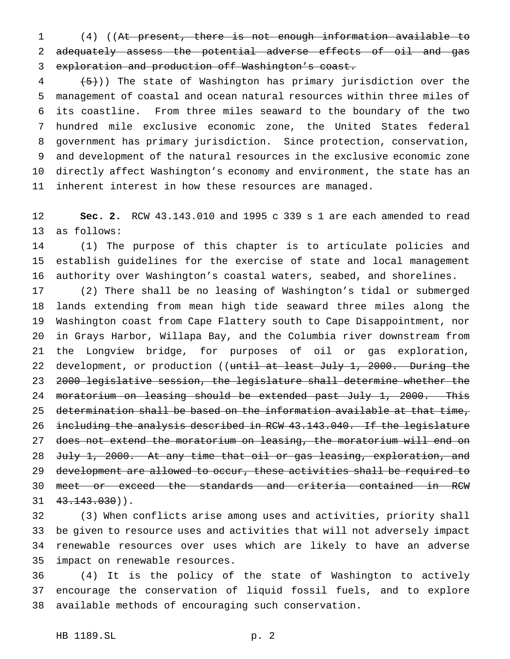(4) ((At present, there is not enough information available to 2 adequately assess the potential adverse effects of oil and gas exploration and production off Washington's coast.

  $(5)$ )) The state of Washington has primary jurisdiction over the management of coastal and ocean natural resources within three miles of its coastline. From three miles seaward to the boundary of the two hundred mile exclusive economic zone, the United States federal government has primary jurisdiction. Since protection, conservation, and development of the natural resources in the exclusive economic zone directly affect Washington's economy and environment, the state has an inherent interest in how these resources are managed.

 **Sec. 2.** RCW 43.143.010 and 1995 c 339 s 1 are each amended to read as follows:

 (1) The purpose of this chapter is to articulate policies and establish guidelines for the exercise of state and local management authority over Washington's coastal waters, seabed, and shorelines.

 (2) There shall be no leasing of Washington's tidal or submerged lands extending from mean high tide seaward three miles along the Washington coast from Cape Flattery south to Cape Disappointment, nor in Grays Harbor, Willapa Bay, and the Columbia river downstream from the Longview bridge, for purposes of oil or gas exploration, 22 development, or production ((until at least July 1, 2000. During the 2000 legislative session, the legislature shall determine whether the 24 moratorium on leasing should be extended past July 1, 2000. This determination shall be based on the information available at that time, 26 including the analysis described in RCW 43.143.040. If the legislature 27 does not extend the moratorium on leasing, the moratorium will end on 28 July 1, 2000. At any time that oil or gas leasing, exploration, and development are allowed to occur, these activities shall be required to meet or exceed the standards and criteria contained in RCW  $31 \quad 43.143.030)$ .

 (3) When conflicts arise among uses and activities, priority shall be given to resource uses and activities that will not adversely impact renewable resources over uses which are likely to have an adverse impact on renewable resources.

 (4) It is the policy of the state of Washington to actively encourage the conservation of liquid fossil fuels, and to explore available methods of encouraging such conservation.